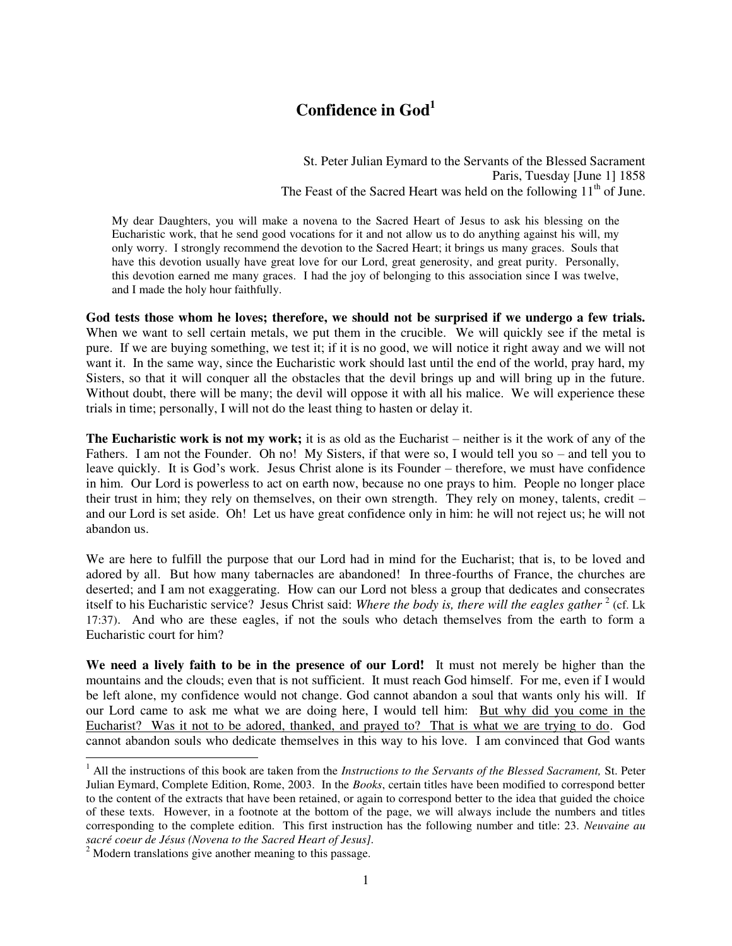## **Confidence in God<sup>1</sup>**

St. Peter Julian Eymard to the Servants of the Blessed Sacrament Paris, Tuesday [June 1] 1858 The Feast of the Sacred Heart was held on the following  $11<sup>th</sup>$  of June.

My dear Daughters, you will make a novena to the Sacred Heart of Jesus to ask his blessing on the Eucharistic work, that he send good vocations for it and not allow us to do anything against his will, my only worry. I strongly recommend the devotion to the Sacred Heart; it brings us many graces. Souls that have this devotion usually have great love for our Lord, great generosity, and great purity. Personally, this devotion earned me many graces. I had the joy of belonging to this association since I was twelve, and I made the holy hour faithfully.

**God tests those whom he loves; therefore, we should not be surprised if we undergo a few trials.**  When we want to sell certain metals, we put them in the crucible. We will quickly see if the metal is pure. If we are buying something, we test it; if it is no good, we will notice it right away and we will not want it. In the same way, since the Eucharistic work should last until the end of the world, pray hard, my Sisters, so that it will conquer all the obstacles that the devil brings up and will bring up in the future. Without doubt, there will be many; the devil will oppose it with all his malice. We will experience these trials in time; personally, I will not do the least thing to hasten or delay it.

**The Eucharistic work is not my work;** it is as old as the Eucharist – neither is it the work of any of the Fathers. I am not the Founder. Oh no! My Sisters, if that were so, I would tell you so – and tell you to leave quickly. It is God's work. Jesus Christ alone is its Founder – therefore, we must have confidence in him. Our Lord is powerless to act on earth now, because no one prays to him. People no longer place their trust in him; they rely on themselves, on their own strength. They rely on money, talents, credit – and our Lord is set aside. Oh! Let us have great confidence only in him: he will not reject us; he will not abandon us.

We are here to fulfill the purpose that our Lord had in mind for the Eucharist; that is, to be loved and adored by all. But how many tabernacles are abandoned! In three-fourths of France, the churches are deserted; and I am not exaggerating. How can our Lord not bless a group that dedicates and consecrates itself to his Eucharistic service? Jesus Christ said: Where the body is, there will the eagles gather <sup>2</sup> (cf. Lk 17:37). And who are these eagles, if not the souls who detach themselves from the earth to form a Eucharistic court for him?

**We need a lively faith to be in the presence of our Lord!** It must not merely be higher than the mountains and the clouds; even that is not sufficient. It must reach God himself. For me, even if I would be left alone, my confidence would not change. God cannot abandon a soul that wants only his will. If our Lord came to ask me what we are doing here, I would tell him: But why did you come in the Eucharist? Was it not to be adored, thanked, and prayed to? That is what we are trying to do. God cannot abandon souls who dedicate themselves in this way to his love. I am convinced that God wants

 $\overline{a}$ 

<sup>&</sup>lt;sup>1</sup> All the instructions of this book are taken from the *Instructions to the Servants of the Blessed Sacrament*, St. Peter Julian Eymard, Complete Edition, Rome, 2003. In the *Books*, certain titles have been modified to correspond better to the content of the extracts that have been retained, or again to correspond better to the idea that guided the choice of these texts. However, in a footnote at the bottom of the page, we will always include the numbers and titles corresponding to the complete edition. This first instruction has the following number and title: 23. *Neuvaine au sacré coeur de Jésus (Novena to the Sacred Heart of Jesus].* 

 $2$  Modern translations give another meaning to this passage.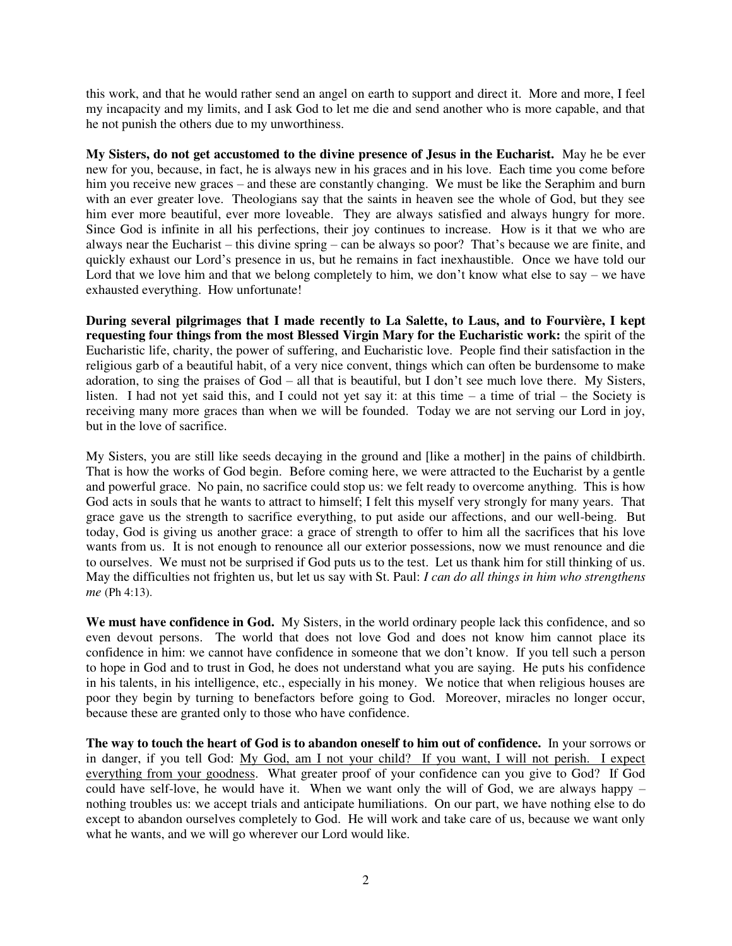this work, and that he would rather send an angel on earth to support and direct it. More and more, I feel my incapacity and my limits, and I ask God to let me die and send another who is more capable, and that he not punish the others due to my unworthiness.

**My Sisters, do not get accustomed to the divine presence of Jesus in the Eucharist.** May he be ever new for you, because, in fact, he is always new in his graces and in his love. Each time you come before him you receive new graces – and these are constantly changing. We must be like the Seraphim and burn with an ever greater love. Theologians say that the saints in heaven see the whole of God, but they see him ever more beautiful, ever more loveable. They are always satisfied and always hungry for more. Since God is infinite in all his perfections, their joy continues to increase. How is it that we who are always near the Eucharist – this divine spring – can be always so poor? That's because we are finite, and quickly exhaust our Lord's presence in us, but he remains in fact inexhaustible. Once we have told our Lord that we love him and that we belong completely to him, we don't know what else to say – we have exhausted everything. How unfortunate!

**During several pilgrimages that I made recently to La Salette, to Laus, and to Fourvière, I kept requesting four things from the most Blessed Virgin Mary for the Eucharistic work:** the spirit of the Eucharistic life, charity, the power of suffering, and Eucharistic love. People find their satisfaction in the religious garb of a beautiful habit, of a very nice convent, things which can often be burdensome to make adoration, to sing the praises of God – all that is beautiful, but I don't see much love there. My Sisters, listen. I had not yet said this, and I could not yet say it: at this time – a time of trial – the Society is receiving many more graces than when we will be founded. Today we are not serving our Lord in joy, but in the love of sacrifice.

My Sisters, you are still like seeds decaying in the ground and [like a mother] in the pains of childbirth. That is how the works of God begin. Before coming here, we were attracted to the Eucharist by a gentle and powerful grace. No pain, no sacrifice could stop us: we felt ready to overcome anything. This is how God acts in souls that he wants to attract to himself; I felt this myself very strongly for many years. That grace gave us the strength to sacrifice everything, to put aside our affections, and our well-being. But today, God is giving us another grace: a grace of strength to offer to him all the sacrifices that his love wants from us. It is not enough to renounce all our exterior possessions, now we must renounce and die to ourselves. We must not be surprised if God puts us to the test. Let us thank him for still thinking of us. May the difficulties not frighten us, but let us say with St. Paul: *I can do all things in him who strengthens me* (Ph 4:13).

**We must have confidence in God.** My Sisters, in the world ordinary people lack this confidence, and so even devout persons. The world that does not love God and does not know him cannot place its confidence in him: we cannot have confidence in someone that we don't know. If you tell such a person to hope in God and to trust in God, he does not understand what you are saying. He puts his confidence in his talents, in his intelligence, etc., especially in his money. We notice that when religious houses are poor they begin by turning to benefactors before going to God. Moreover, miracles no longer occur, because these are granted only to those who have confidence.

**The way to touch the heart of God is to abandon oneself to him out of confidence.** In your sorrows or in danger, if you tell God: My God, am I not your child? If you want, I will not perish. I expect everything from your goodness. What greater proof of your confidence can you give to God? If God could have self-love, he would have it. When we want only the will of God, we are always happy – nothing troubles us: we accept trials and anticipate humiliations. On our part, we have nothing else to do except to abandon ourselves completely to God. He will work and take care of us, because we want only what he wants, and we will go wherever our Lord would like.